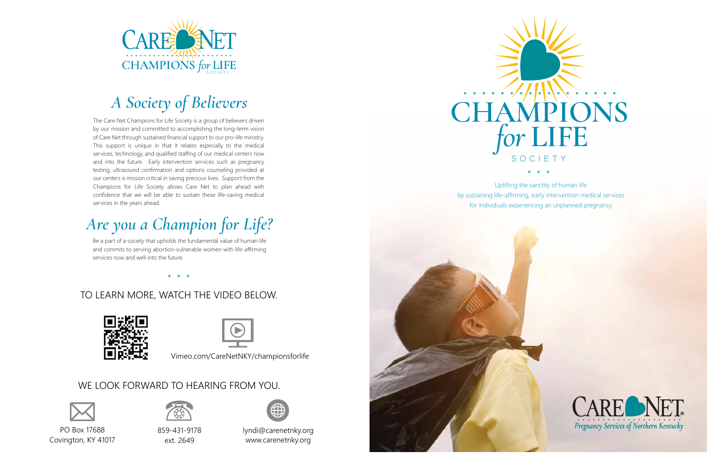The Care Net Champions for Life Society is a group of believers driven by our mission and committed to accomplishing the long-term vision of Care Net through sustained financial support to our pro-life ministry. This support is unique in that it relates especially to the medical services, technology, and qualified staffing of our medical centers now and into the future. Early intervention services such as pregnancy testing, ultrasound confirmation and options counseling provided at our centers is mission critical in saving precious lives. Support from the Champions for Life Society allows Care Net to plan ahead with confidence that we will be able to sustain these life-saving medical services in the years ahead.

Be a part of a society that upholds the fundamental value of human life and commits to serving abortion-vulnerable women with life-affirming services now and well into the future.



# *A Society of Believers*





Uplifting the sanctity of human life by sustaining life-affirming, early intervention medical services for individuals experiencing an unplanned pregnancy



# *Are you a Champion for Life?*

PO Box 17688 Covington, KY 41017



859-431-9178 ext. 2649



lyndi@carenetnky.org www.carenetnky.org

### WE LOOK FORWARD TO HEARING FROM YOU.



### TO LEARN MORE, WATCH THE VIDEO BELOW.





Vimeo.com/CareNetNKY/championsforlife